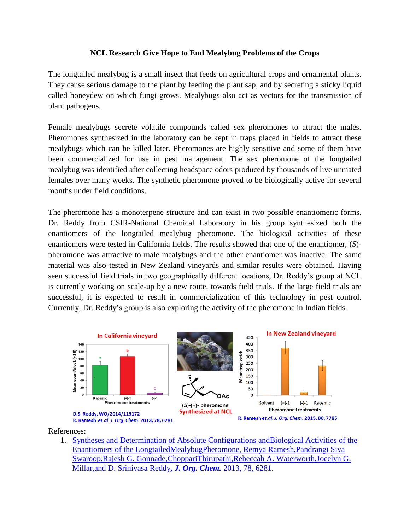## **NCL Research Give Hope to End Mealybug Problems of the Crops**

The longtailed mealybug is a small insect that feeds on agricultural crops and ornamental plants. They cause serious damage to the plant by feeding the plant sap, and by secreting a sticky liquid called honeydew on which fungi grows. Mealybugs also act as vectors for the transmission of plant pathogens.

Female mealybugs secrete volatile compounds called sex pheromones to attract the males. Pheromones synthesized in the laboratory can be kept in traps placed in fields to attract these mealybugs which can be killed later. Pheromones are highly sensitive and some of them have been commercialized for use in pest management. The sex pheromone of the longtailed mealybug was identified after collecting headspace odors produced by thousands of live unmated females over many weeks. The synthetic pheromone proved to be biologically active for several months under field conditions.

The pheromone has a monoterpene structure and can exist in two possible enantiomeric forms. Dr. Reddy from CSIR-National Chemical Laboratory in his group synthesized both the enantiomers of the longtailed mealybug pheromone. The biological activities of these enantiomers were tested in California fields. The results showed that one of the enantiomer, (*S*) pheromone was attractive to male mealybugs and the other enantiomer was inactive. The same material was also tested in New Zealand vineyards and similar results were obtained. Having seen successful field trials in two geographically different locations, Dr. Reddy's group at NCL is currently working on scale-up by a new route, towards field trials. If the large field trials are successful, it is expected to result in commercialization of this technology in pest control. Currently, Dr. Reddy's group is also exploring the activity of the pheromone in Indian fields.



References:

1. [Syntheses and Determination of Absolute Configurations andBiological Activities](http://dx.doi.org/10.1021/jo400491n) of the [Enantiomers of the LongtailedMealybugPheromone, Remya Ramesh,Pandrangi Siva](http://dx.doi.org/10.1021/jo400491n)  [Swaroop,Rajesh G. Gonnade,ChoppariThirupathi,Rebeccah A. Waterworth,Jocelyn G.](http://dx.doi.org/10.1021/jo400491n)  [Millar,and D. Srinivasa Reddy](http://dx.doi.org/10.1021/jo400491n)*, J. Org. Chem.* 2013, 78, 6281.